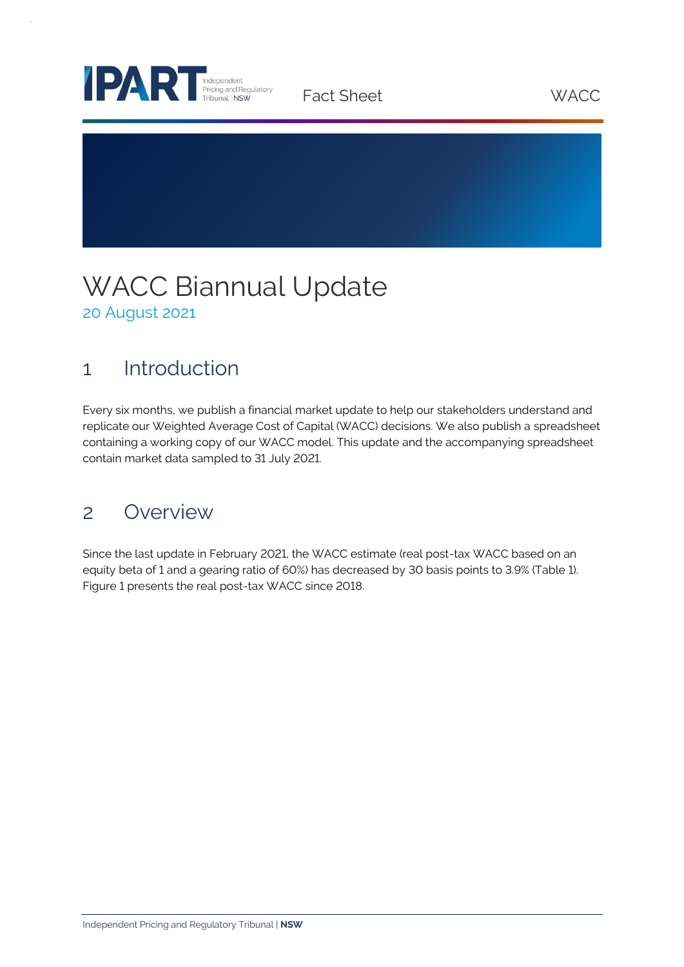

Fact Sheet WACC

## WACC Biannual Update 20 August 2021

## 1 Introduction

Every six months, we publish a financial market update to help our stakeholders understand and replicate our Weighted Average Cost of Capital (WACC) decisions. We also publish a spreadsheet containing a working copy of our WACC model. This update and the accompanying spreadsheet contain market data sampled to 31 July 2021.

## 2 Overview

Since the last update in February 2021, the WACC estimate (real post-tax WACC based on an equity beta of 1 and a gearing ratio of 60%) has decreased by 30 basis points to 3.9% (Table 1). Figure 1 presents the real post-tax WACC since 2018.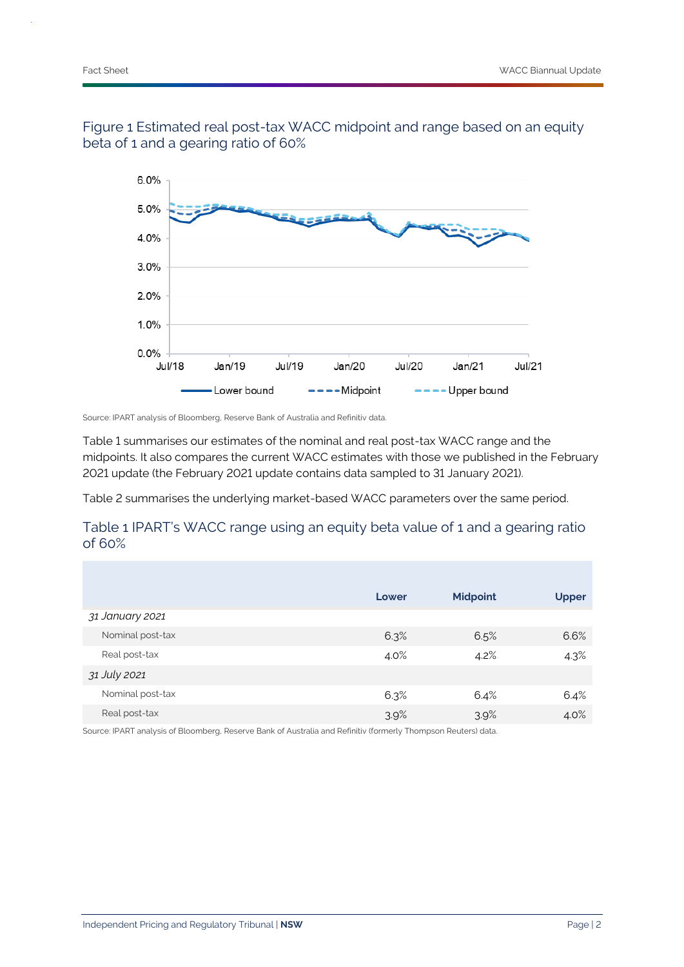



Source: IPART analysis of Bloomberg, Reserve Bank of Australia and Refinitiv data.

Table 1 summarises our estimates of the nominal and real post-tax WACC range and the midpoints. It also compares the current WACC estimates with those we published in the February 2021 update (the February 2021 update contains data sampled to 31 January 2021).

Table 2 summarises the underlying market-based WACC parameters over the same period.

### Table 1 IPART's WACC range using an equity beta value of 1 and a gearing ratio of 60%

|                  | Lower | <b>Midpoint</b> | <b>Upper</b> |  |
|------------------|-------|-----------------|--------------|--|
| 31 January 2021  |       |                 |              |  |
| Nominal post-tax | 6.3%  | 6.5%            | 6.6%         |  |
| Real post-tax    | 4.0%  | 4.2%            | 4.3%         |  |
| 31 July 2021     |       |                 |              |  |
| Nominal post-tax | 6.3%  | 6.4%            | 6.4%         |  |
| Real post-tax    | 3.9%  | 3.9%            | 4.0%         |  |

Source: IPART analysis of Bloomberg, Reserve Bank of Australia and Refinitiv (formerly Thompson Reuters) data.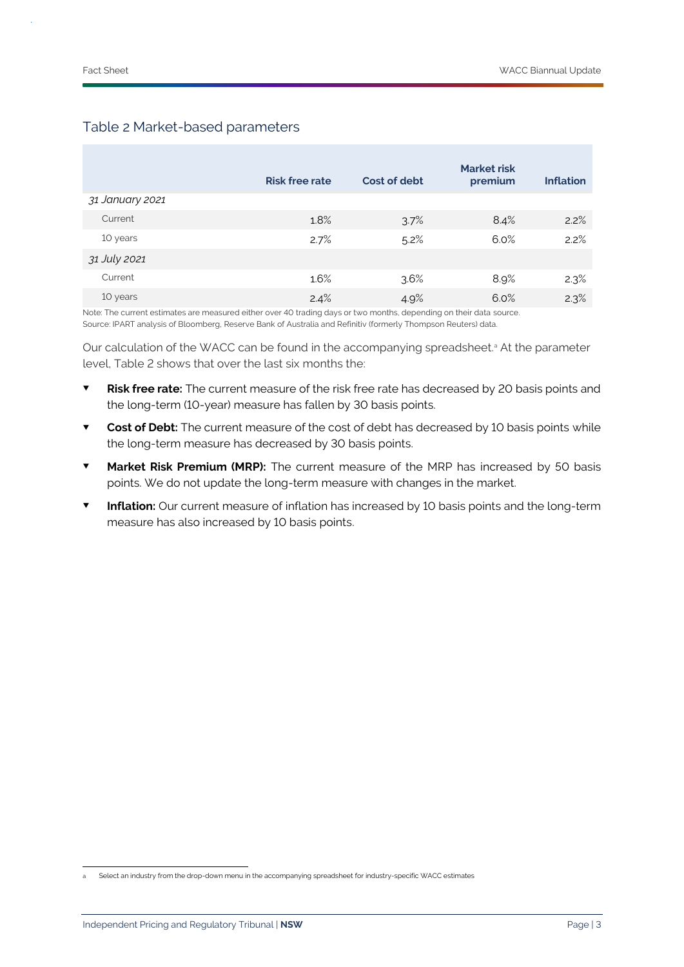|                 | <b>Risk free rate</b> | Cost of debt | <b>Market risk</b><br>premium | <b>Inflation</b> |
|-----------------|-----------------------|--------------|-------------------------------|------------------|
| 31 January 2021 |                       |              |                               |                  |
| Current         | 1.8%                  | 3.7%         | $8.4\%$                       | 2.2%             |
| 10 years        | 2.7%                  | 5.2%         | 6.0%                          | 2.2%             |
| 31 July 2021    |                       |              |                               |                  |
| Current         | $1.6\%$               | 3.6%         | 8.9%                          | 2.3%             |
| 10 years        | 2.4%                  | 4.9%         | 6.0%                          | 2.3%             |

#### Table 2 Market-based parameters

Note: The current estimates are measured either over 40 trading days or two months, depending on their data source. Source: IPART analysis of Bloomberg, Reserve Bank of Australia and Refinitiv (formerly Thompson Reuters) data.

Our calculation of the WACC can be found in the accompanying spreadsheet.<sup>a</sup> At the parameter level, Table 2 shows that over the last six months the:

- **Risk free rate:** The current measure of the risk free rate has decreased by 20 basis points and the long-term (10-year) measure has fallen by 30 basis points.
- **Cost of Debt:** The current measure of the cost of debt has decreased by 10 basis points while the long-term measure has decreased by 30 basis points.
- **Market Risk Premium (MRP):** The current measure of the MRP has increased by 50 basis points. We do not update the long-term measure with changes in the market.
- **Inflation:** Our current measure of inflation has increased by 10 basis points and the long-term measure has also increased by 10 basis points.

Select an industry from the drop-down menu in the accompanying spreadsheet for industry-specific WACC estimates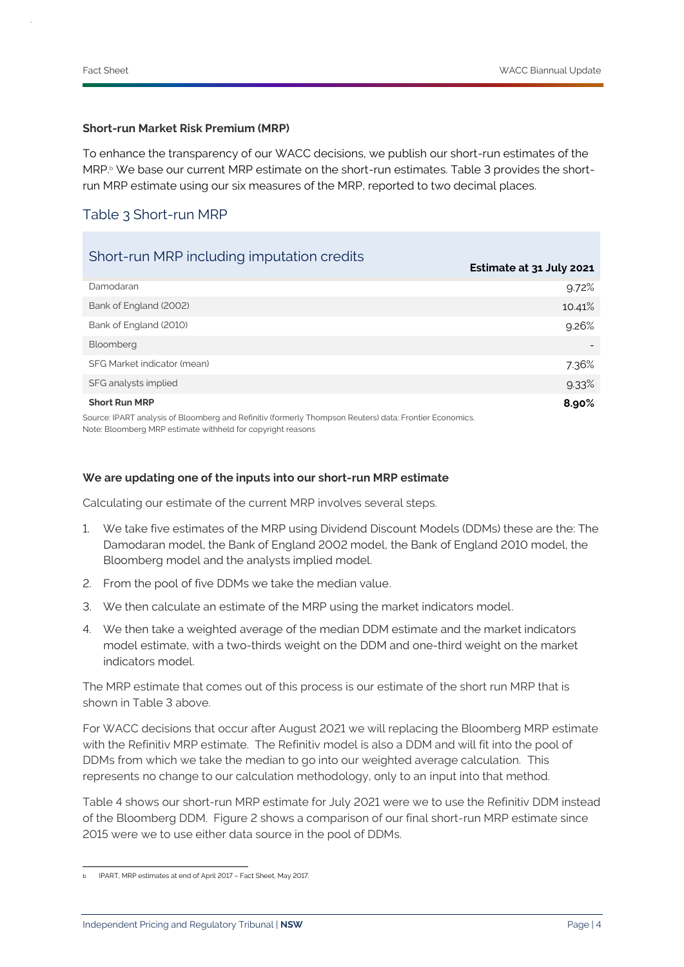#### **Short-run Market Risk Premium (MRP)**

To enhance the transparency of our WACC decisions, we publish our short-run estimates of the MRP.<sup>b</sup> We base our current MRP estimate on the short-run estimates. Table 3 provides the shortrun MRP estimate using our six measures of the MRP, reported to two decimal places.

#### Table 3 Short-run MRP

| Short-run MRP including imputation credits                                                              | Estimate at 31 July 2021 |
|---------------------------------------------------------------------------------------------------------|--------------------------|
| Damodaran                                                                                               | 9.72%                    |
| Bank of England (2002)                                                                                  | 10.41%                   |
| Bank of England (2010)                                                                                  | 9.26%                    |
| Bloomberg                                                                                               |                          |
| SFG Market indicator (mean)                                                                             | 7.36%                    |
| SFG analysts implied                                                                                    | 9.33%                    |
| <b>Short Run MRP</b>                                                                                    | 8.90%                    |
| Source: IPART analysis of Bloomberg and Refinitiv (formerly Thompson Reuters) data; Frontier Economics. |                          |

Note: Bloomberg MRP estimate withheld for copyright reasons

#### **We are updating one of the inputs into our short-run MRP estimate**

Calculating our estimate of the current MRP involves several steps.

- 1. We take five estimates of the MRP using Dividend Discount Models (DDMs) these are the: The Damodaran model, the Bank of England 2002 model, the Bank of England 2010 model, the Bloomberg model and the analysts implied model.
- 2. From the pool of five DDMs we take the median value.
- 3. We then calculate an estimate of the MRP using the market indicators model.
- 4. We then take a weighted average of the median DDM estimate and the market indicators model estimate, with a two-thirds weight on the DDM and one-third weight on the market indicators model.

The MRP estimate that comes out of this process is our estimate of the short run MRP that is shown in Table 3 above.

For WACC decisions that occur after August 2021 we will replacing the Bloomberg MRP estimate with the Refinitiv MRP estimate. The Refinitiv model is also a DDM and will fit into the pool of DDMs from which we take the median to go into our weighted average calculation. This represents no change to our calculation methodology, only to an input into that method.

Table 4 shows our short-run MRP estimate for July 2021 were we to use the Refinitiv DDM instead of the Bloomberg DDM. Figure 2 shows a comparison of our final short-run MRP estimate since 2015 were we to use either data source in the pool of DDMs.

IPART, MRP estimates at end of April 2017 - Fact Sheet, May 2017.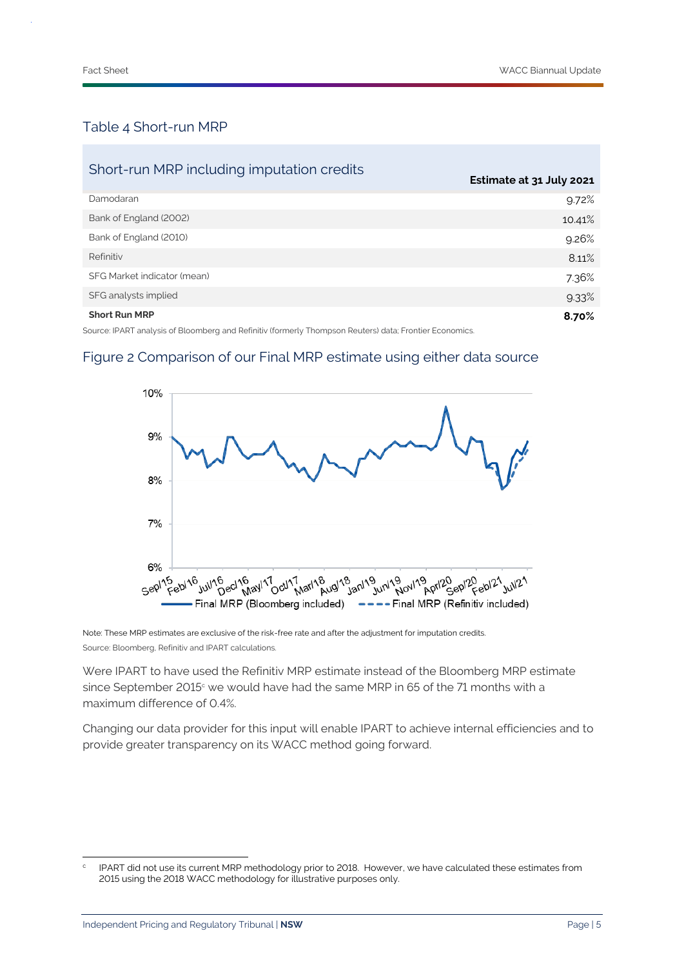#### Table 4 Short-run MRP

| Short-run MRP including imputation credits                                                              | Estimate at 31 July 2021 |
|---------------------------------------------------------------------------------------------------------|--------------------------|
| Damodaran                                                                                               | 9.72%                    |
| Bank of England (2002)                                                                                  | 10.41%                   |
| Bank of England (2010)                                                                                  | 9.26%                    |
| Refinitiv                                                                                               | 8.11%                    |
| SFG Market indicator (mean)                                                                             | 7.36%                    |
| SFG analysts implied                                                                                    | 9.33%                    |
| <b>Short Run MRP</b>                                                                                    | 8.70%                    |
| Source: IPART analysis of Bloomberg and Refinitiv (formerly Thompson Reuters) data; Frontier Economics. |                          |

#### Figure 2 Comparison of our Final MRP estimate using either data source



Note: These MRP estimates are exclusive of the risk-free rate and after the adjustment for imputation credits. Source: Bloomberg, Refinitiv and IPART calculations.

Were IPART to have used the Refinitiv MRP estimate instead of the Bloomberg MRP estimate since September 2015<sup>c</sup> we would have had the same MRP in 65 of the 71 months with a maximum difference of 0.4%.

Changing our data provider for this input will enable IPART to achieve internal efficiencies and to provide greater transparency on its WACC method going forward.

c IPART did not use its current MRP methodology prior to 2018. However, we have calculated these estimates from 2015 using the 2018 WACC methodology for illustrative purposes only.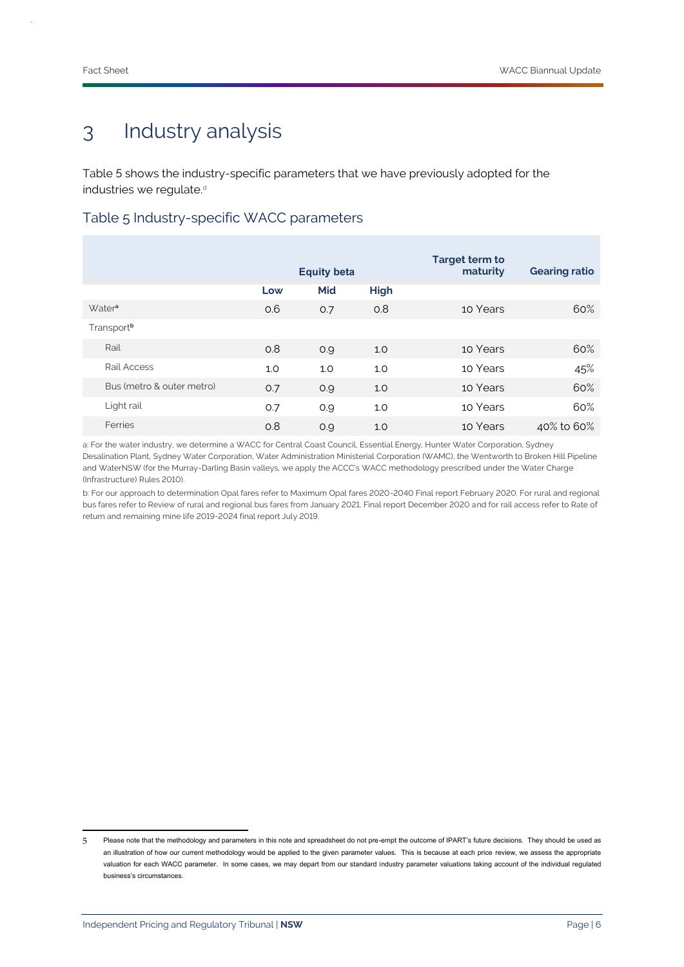# 3 Industry analysis

Table 5 shows the industry-specific parameters that we have previously adopted for the industries we regulate.<sup>d</sup>

Table 5 Industry-specific WACC parameters

|                           | <b>Equity beta</b> |     | <b>Target term to</b><br>maturity | <b>Gearing ratio</b> |            |
|---------------------------|--------------------|-----|-----------------------------------|----------------------|------------|
|                           | Low                | Mid | <b>High</b>                       |                      |            |
| Water <sup>a</sup>        | 0.6                | 0.7 | 0.8                               | 10 Years             | 60%        |
| Transport <sup>b</sup>    |                    |     |                                   |                      |            |
| Rail                      | 0.8                | O.9 | 1.0                               | 10 Years             | 60%        |
| Rail Access               | 1.0                | 1.0 | 1.0                               | 10 Years             | 45%        |
| Bus (metro & outer metro) | 0.7                | 0.9 | 1.0                               | 10 Years             | 60%        |
| Light rail                | 0.7                | 0.9 | 1.0                               | 10 Years             | 60%        |
| Ferries                   | 0.8                | O.9 | 1.0                               | 10 Years             | 40% to 60% |

a: For the water industry, we determine a WACC for Central Coast Council, Essential Energy, Hunter Water Corporation, Sydney Desalination Plant, Sydney Water Corporation, Water Administration Ministerial Corporation (WAMC), the Wentworth to Broken Hill Pipeline and WaterNSW (for the Murray-Darling Basin valleys, we apply the ACCC's WACC methodology prescribed under the Water Charge (Infrastructure) Rules 2010).

b: For our approach to determination Opal fares refer to Maximum Opal fares 2020-2040 Final report February 2020. For rural and regional bus fares refer to Review of rural and regional bus fares from January 2021, Final report December 2020 and for rail access refer to Rate of return and remaining mine life 2019-2024 final report July 2019.

<sup>5</sup> Please note that the methodology and parameters in this note and spreadsheet do not pre-empt the outcome of IPART's future decisions. They should be used as an illustration of how our current methodology would be applied to the given parameter values. This is because at each price review, we assess the appropriate valuation for each WACC parameter. In some cases, we may depart from our standard industry parameter valuations taking account of the individual regulated business's circumstances.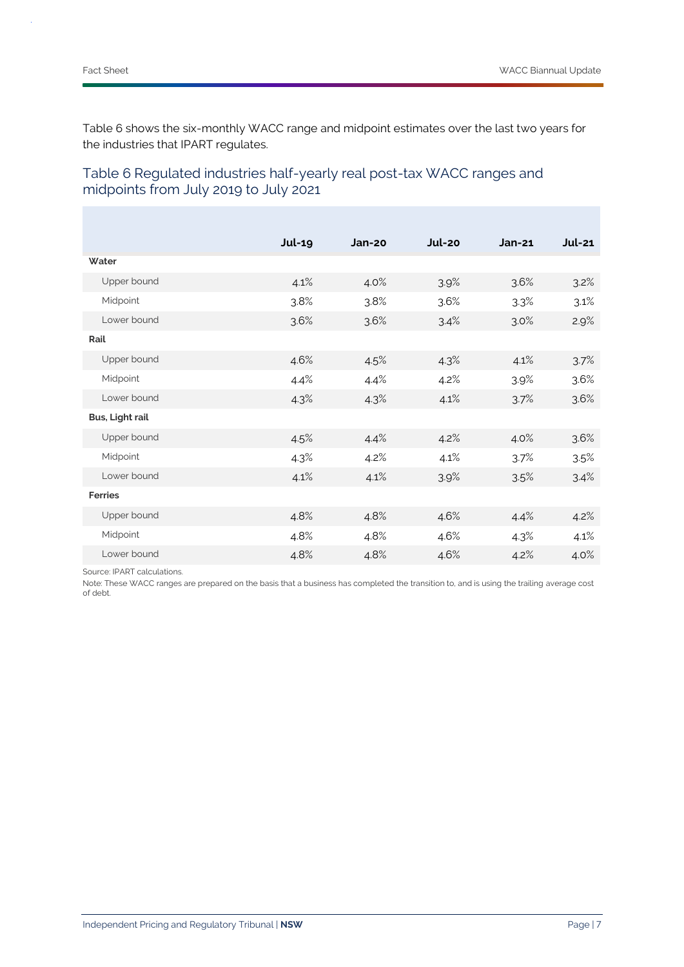Table 6 shows the six-monthly WACC range and midpoint estimates over the last two years for the industries that IPART regulates.

|                 | <b>Jul-19</b> | Jan-20 | Jul-20 | $Jan-21$ | <b>Jul-21</b> |
|-----------------|---------------|--------|--------|----------|---------------|
| Water           |               |        |        |          |               |
| Upper bound     | 4.1%          | 4.0%   | 3.9%   | 3.6%     | 3.2%          |
| Midpoint        | 3.8%          | 3.8%   | 3.6%   | 3.3%     | 3.1%          |
| Lower bound     | 3.6%          | 3.6%   | 3.4%   | 3.0%     | 2.9%          |
| Rail            |               |        |        |          |               |
| Upper bound     | 4.6%          | 4.5%   | 4.3%   | 4.1%     | 3.7%          |
| Midpoint        | 4.4%          | 4.4%   | 4.2%   | 3.9%     | 3.6%          |
| Lower bound     | 4.3%          | 4.3%   | 4.1%   | 3.7%     | 3.6%          |
| Bus, Light rail |               |        |        |          |               |
| Upper bound     | 4.5%          | 4.4%   | 4.2%   | 4.0%     | 3.6%          |
| Midpoint        | 4.3%          | 4.2%   | 4.1%   | 3.7%     | 3.5%          |
| Lower bound     | 4.1%          | 4.1%   | 3.9%   | 3.5%     | 3.4%          |
| <b>Ferries</b>  |               |        |        |          |               |
| Upper bound     | 4.8%          | 4.8%   | 4.6%   | 4.4%     | 4.2%          |
| Midpoint        | 4.8%          | 4.8%   | 4.6%   | 4.3%     | 4.1%          |
| Lower bound     | 4.8%          | 4.8%   | 4.6%   | 4.2%     | 4.0%          |

### Table 6 Regulated industries half-yearly real post-tax WACC ranges and midpoints from July 2019 to July 2021

Source: IPART calculations.

Note: These WACC ranges are prepared on the basis that a business has completed the transition to, and is using the trailing average cost of debt.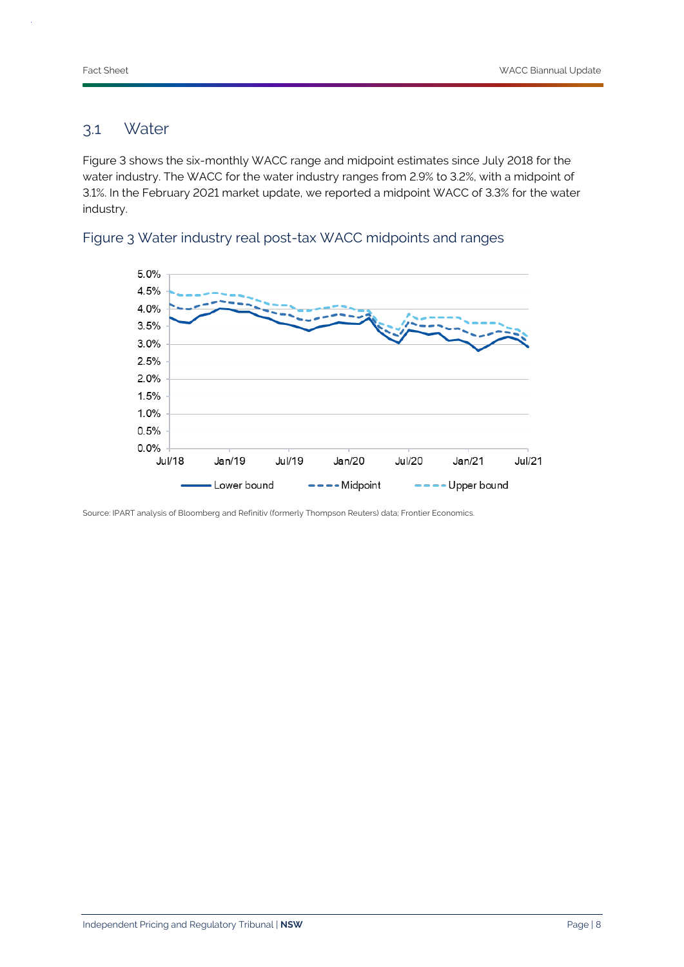### 3.1 Water

Figure 3 shows the six-monthly WACC range and midpoint estimates since July 2018 for the water industry. The WACC for the water industry ranges from 2.9% to 3.2%, with a midpoint of 3.1%. In the February 2021 market update, we reported a midpoint WACC of 3.3% for the water industry.



#### Figure 3 Water industry real post-tax WACC midpoints and ranges

Source: IPART analysis of Bloomberg and Refinitiv (formerly Thompson Reuters) data; Frontier Economics.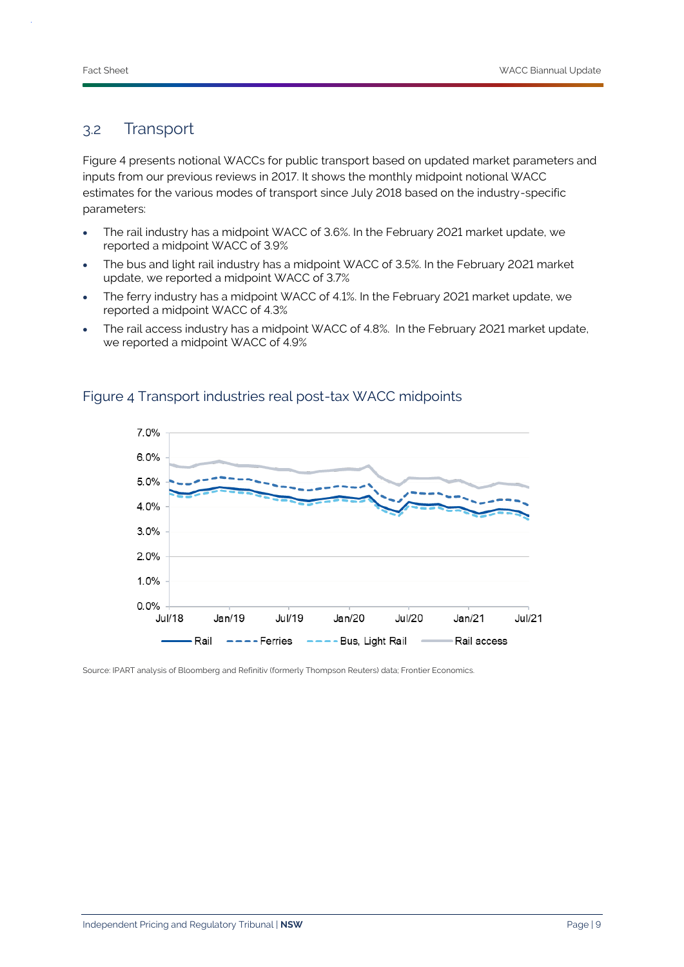### 3.2 Transport

Figure 4 presents notional WACCs for public transport based on updated market parameters and inputs from our previous reviews in 2017. It shows the monthly midpoint notional WACC estimates for the various modes of transport since July 2018 based on the industry-specific parameters:

- The rail industry has a midpoint WACC of 3.6%. In the February 2021 market update, we reported a midpoint WACC of 3.9%
- The bus and light rail industry has a midpoint WACC of 3.5%. In the February 2021 market update, we reported a midpoint WACC of 3.7%
- The ferry industry has a midpoint WACC of 4.1%. In the February 2021 market update, we reported a midpoint WACC of 4.3%
- The rail access industry has a midpoint WACC of 4.8%. In the February 2021 market update, we reported a midpoint WACC of 4.9%



#### Figure 4 Transport industries real post-tax WACC midpoints

Source: IPART analysis of Bloomberg and Refinitiv (formerly Thompson Reuters) data; Frontier Economics.